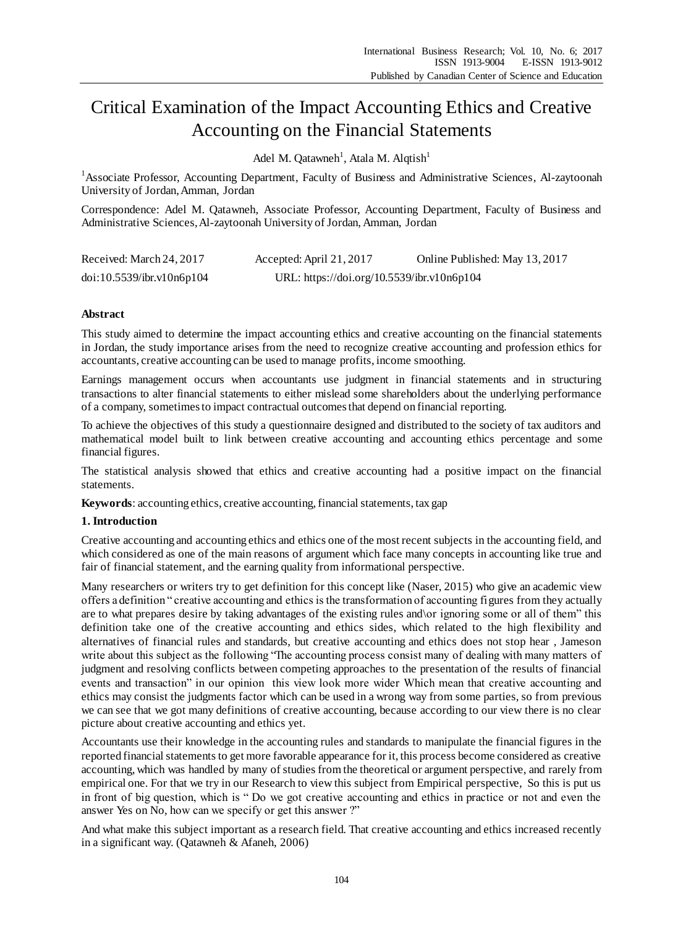# Critical Examination of the Impact Accounting Ethics and Creative Accounting on the Financial Statements

Adel M. Qatawneh<sup>1</sup>, Atala M. Alqtish<sup>1</sup>

<sup>1</sup>Associate Professor, Accounting Department, Faculty of Business and Administrative Sciences, Al-zaytoonah University of Jordan, Amman, Jordan

Correspondence: Adel M. Qatawneh, Associate Professor, Accounting Department, Faculty of Business and Administrative Sciences, Al-zaytoonah University of Jordan, Amman, Jordan

| Received: March 24, 2017  | Accepted: April 21, 2017                   | Online Published: May 13, 2017 |
|---------------------------|--------------------------------------------|--------------------------------|
| doi:10.5539/ibr.v10n6p104 | URL: https://doi.org/10.5539/ibr.v10n6p104 |                                |

# **Abstract**

This study aimed to determine the impact accounting ethics and creative accounting on the financial statements in Jordan, the study importance arises from the need to recognize creative accounting and profession ethics for accountants, creative accounting can be used to manage profits, income smoothing.

Earnings management occurs when accountants use judgment in financial statements and in structuring transactions to alter financial statements to either mislead some shareholders about the underlying performance of a company, sometimes to impact contractual outcomes that depend on financial reporting.

To achieve the objectives of this study a questionnaire designed and distributed to the society of tax auditors and mathematical model built to link between creative accounting and accounting ethics percentage and some financial figures.

The statistical analysis showed that ethics and creative accounting had a positive impact on the financial statements.

**Keywords**: accounting ethics, creative accounting, financial statements, tax gap

# **1. Introduction**

Creative accounting and accounting ethics and ethics one of the most recent subjects in the accounting field, and which considered as one of the main reasons of argument which face many concepts in accounting like true and fair of financial statement, and the earning quality from informational perspective.

Many researchers or writers try to get definition for this concept like (Naser, 2015) who give an academic view offers a definition " creative accounting and ethics is the transformation of accounting figures from they actually are to what prepares desire by taking advantages of the existing rules and\or ignoring some or all of them" this definition take one of the creative accounting and ethics sides, which related to the high flexibility and alternatives of financial rules and standards, but creative accounting and ethics does not stop hear , Jameson write about this subject as the following "The accounting process consist many of dealing with many matters of judgment and resolving conflicts between competing approaches to the presentation of the results of financial events and transaction" in our opinion this view look more wider Which mean that creative accounting and ethics may consist the judgments factor which can be used in a wrong way from some parties, so from previous we can see that we got many definitions of creative accounting, because according to our view there is no clear picture about creative accounting and ethics yet.

Accountants use their knowledge in the accounting rules and standards to manipulate the financial figures in the reported financial statements to get more favorable appearance for it, this process become considered as creative accounting, which was handled by many of studies from the theoretical or argument perspective, and rarely from empirical one. For that we try in our Research to view this subject from Empirical perspective, So this is put us in front of big question, which is " Do we got creative accounting and ethics in practice or not and even the answer Yes on No, how can we specify or get this answer ?"

And what make this subject important as a research field. That creative accounting and ethics increased recently in a significant way. (Qatawneh & Afaneh, 2006)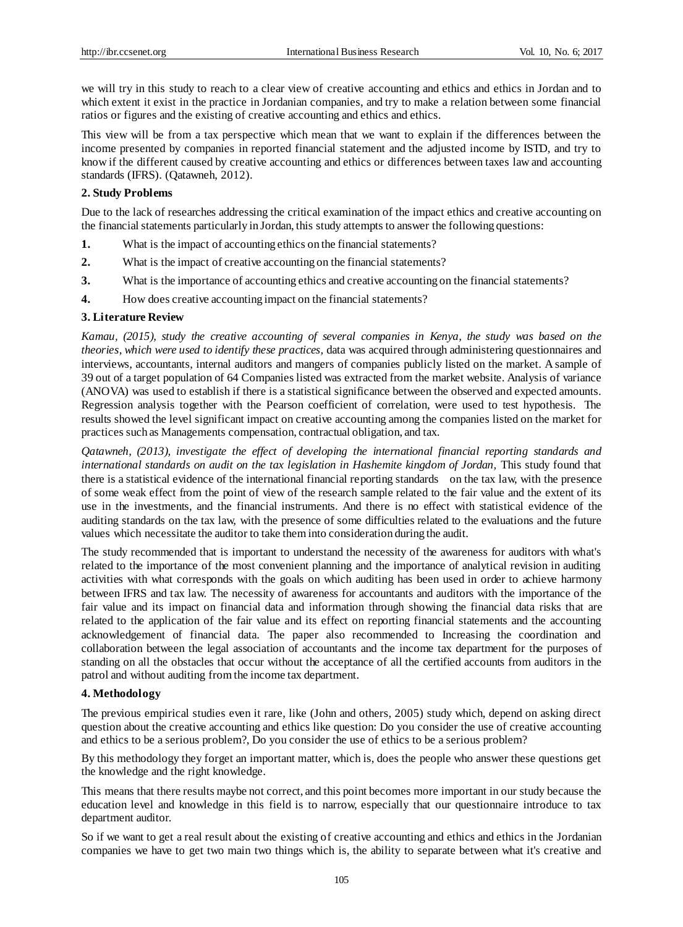we will try in this study to reach to a clear view of creative accounting and ethics and ethics in Jordan and to which extent it exist in the practice in Jordanian companies, and try to make a relation between some financial ratios or figures and the existing of creative accounting and ethics and ethics.

This view will be from a tax perspective which mean that we want to explain if the differences between the income presented by companies in reported financial statement and the adjusted income by ISTD, and try to know if the different caused by creative accounting and ethics or differences between taxes law and accounting standards (IFRS). (Qatawneh, 2012).

## **2. Study Problems**

Due to the lack of researches addressing the critical examination of the impact ethics and creative accounting on the financial statements particularly in Jordan, this study attempts to answer the following questions:

- **1.** What is the impact of accounting ethics on the financial statements?
- **2.** What is the impact of creative accounting on the financial statements?
- **3.** What is the importance of accounting ethics and creative accounting on the financial statements?
- **4.** How does creative accounting impact on the financial statements?

# **3. Literature Review**

*Kamau, (2015), study the creative accounting of several companies in Kenya, the study was based on the theories, which were used to identify these practices,* data was acquired through administering questionnaires and interviews, accountants, internal auditors and mangers of companies publicly listed on the market. A sample of 39 out of a target population of 64 Companies listed was extracted from the market website. Analysis of variance (ANOVA) was used to establish if there is a statistical significance between the observed and expected amounts. Regression analysis together with the Pearson coefficient of correlation, were used to test hypothesis. The results showed the level significant impact on creative accounting among the companies listed on the market for practices such as Managements compensation, contractual obligation, and tax.

*Qatawneh, (2013), investigate the effect of developing the international financial reporting standards and international standards on audit on the tax legislation in Hashemite kingdom of Jordan, This study found that* there is a statistical evidence of the international financial reporting standards on the tax law, with the presence of some weak effect from the point of view of the research sample related to the fair value and the extent of its use in the investments, and the financial instruments. And there is no effect with statistical evidence of the auditing standards on the tax law, with the presence of some difficulties related to the evaluations and the future values which necessitate the auditor to take them into consideration during the audit.

The study recommended that is important to understand the necessity of the awareness for auditors with what's related to the importance of the most convenient planning and the importance of analytical revision in auditing activities with what corresponds with the goals on which auditing has been used in order to achieve harmony between IFRS and tax law. The necessity of awareness for accountants and auditors with the importance of the fair value and its impact on financial data and information through showing the financial data risks that are related to the application of the fair value and its effect on reporting financial statements and the accounting acknowledgement of financial data. The paper also recommended to Increasing the coordination and collaboration between the legal association of accountants and the income tax department for the purposes of standing on all the obstacles that occur without the acceptance of all the certified accounts from auditors in the patrol and without auditing from the income tax department.

# **4. Methodology**

The previous empirical studies even it rare, like (John and others, 2005) study which, depend on asking direct question about the creative accounting and ethics like question: Do you consider the use of creative accounting and ethics to be a serious problem?, Do you consider the use of ethics to be a serious problem?

By this methodology they forget an important matter, which is, does the people who answer these questions get the knowledge and the right knowledge.

This means that there results maybe not correct, and this point becomes more important in our study because the education level and knowledge in this field is to narrow, especially that our questionnaire introduce to tax department auditor.

So if we want to get a real result about the existing of creative accounting and ethics and ethics in the Jordanian companies we have to get two main two things which is, the ability to separate between what it's creative and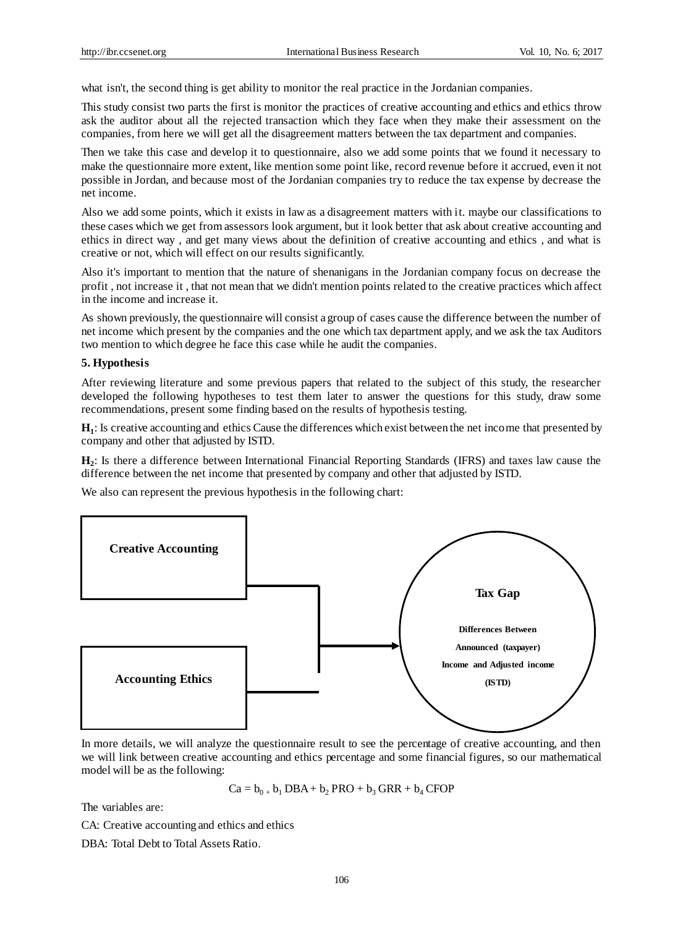what isn't, the second thing is get ability to monitor the real practice in the Jordanian companies.

This study consist two parts the first is monitor the practices of creative accounting and ethics and ethics throw ask the auditor about all the rejected transaction which they face when they make their assessment on the companies, from here we will get all the disagreement matters between the tax department and companies.

Then we take this case and develop it to questionnaire, also we add some points that we found it necessary to make the questionnaire more extent, like mention some point like, record revenue before it accrued, even it not possible in Jordan, and because most of the Jordanian companies try to reduce the tax expense by decrease the net income.

Also we add some points, which it exists in law as a disagreement matters with it. maybe our classifications to these cases which we get from assessors look argument, but it look better that ask about creative accounting and ethics in direct way , and get many views about the definition of creative accounting and ethics , and what is creative or not, which will effect on our results significantly.

Also it's important to mention that the nature of shenanigans in the Jordanian company focus on decrease the profit , not increase it , that not mean that we didn't mention points related to the creative practices which affect in the income and increase it.

As shown previously, the questionnaire will consist a group of cases cause the difference between the number of net income which present by the companies and the one which tax department apply, and we ask the tax Auditors two mention to which degree he face this case while he audit the companies.

## **5. Hypothesis**

After reviewing literature and some previous papers that related to the subject of this study, the researcher developed the following hypotheses to test them later to answer the questions for this study, draw some recommendations, present some finding based on the results of hypothesis testing.

**H1** : Is creative accounting and ethics Cause the differences which exist between the net income that presented by company and other that adjusted by ISTD.

**H2** : Is there a difference between International Financial Reporting Standards (IFRS) and taxes law cause the difference between the net income that presented by company and other that adjusted by ISTD.

We also can represent the previous hypothesis in the following chart:



In more details, we will analyze the questionnaire result to see the percentage of creative accounting, and then we will link between creative accounting and ethics percentage and some financial figures, so our mathematical model will be as the following:

 $Ca = b_0 + b_1 DBA + b_2 PRO + b_3 GRR + b_4 CFOP$ 

The variables are:

CA: Creative accounting and ethics and ethics

DBA: Total Debt to Total Assets Ratio.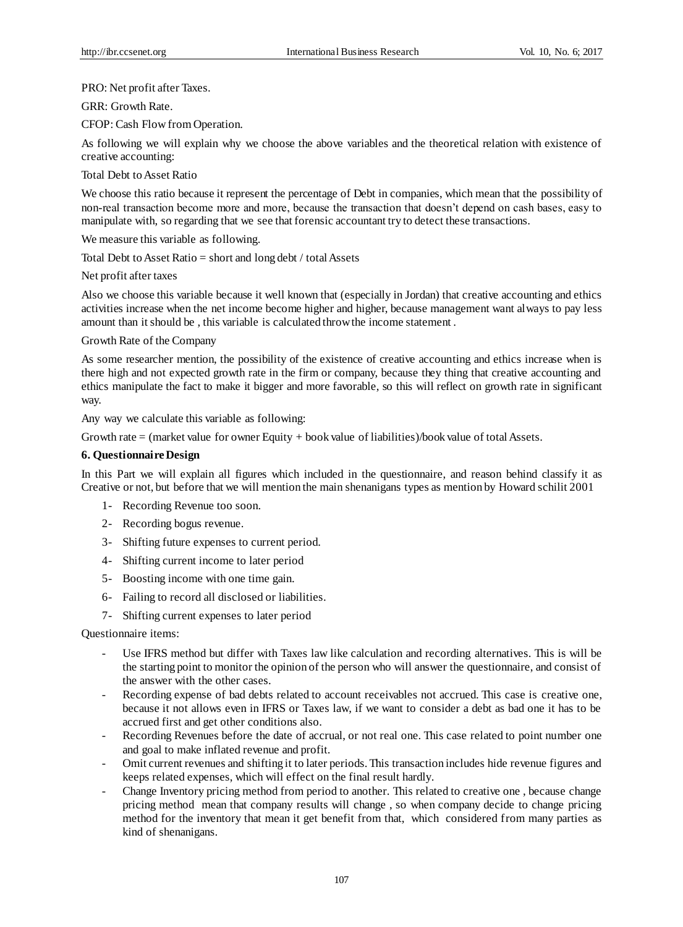PRO: Net profit after Taxes.

GRR: Growth Rate.

CFOP: Cash Flow from Operation.

As following we will explain why we choose the above variables and the theoretical relation with existence of creative accounting:

Total Debt to Asset Ratio

We choose this ratio because it represent the percentage of Debt in companies, which mean that the possibility of non-real transaction become more and more, because the transaction that doesn't depend on cash bases, easy to manipulate with, so regarding that we see that forensic accountant try to detect these transactions.

We measure this variable as following.

Total Debt to Asset Ratio = short and long debt / total Assets

Net profit after taxes

Also we choose this variable because it well known that (especially in Jordan) that creative accounting and ethics activities increase when the net income become higher and higher, because management want always to pay less amount than it should be , this variable is calculated throw the income statement .

Growth Rate of the Company

As some researcher mention, the possibility of the existence of creative accounting and ethics increase when is there high and not expected growth rate in the firm or company, because they thing that creative accounting and ethics manipulate the fact to make it bigger and more favorable, so this will reflect on growth rate in significant way.

Any way we calculate this variable as following:

Growth rate = (market value for owner Equity + book value of liabilities)/book value of total Assets.

#### **6. Questionnaire Design**

In this Part we will explain all figures which included in the questionnaire, and reason behind classify it as Creative or not, but before that we will mention the main shenanigans types as mention by Howard schilit 2001

- 1- Recording Revenue too soon.
- 2- Recording bogus revenue.
- 3- Shifting future expenses to current period.
- 4- Shifting current income to later period
- 5- Boosting income with one time gain.
- 6- Failing to record all disclosed or liabilities.
- 7- Shifting current expenses to later period

Questionnaire items:

- Use IFRS method but differ with Taxes law like calculation and recording alternatives. This is will be the starting point to monitor the opinion of the person who will answer the questionnaire, and consist of the answer with the other cases.
- Recording expense of bad debts related to account receivables not accrued. This case is creative one, because it not allows even in IFRS or Taxes law, if we want to consider a debt as bad one it has to be accrued first and get other conditions also.
- Recording Revenues before the date of accrual, or not real one. This case related to point number one and goal to make inflated revenue and profit.
- Omit current revenues and shifting it to later periods. This transaction includes hide revenue figures and keeps related expenses, which will effect on the final result hardly.
- Change Inventory pricing method from period to another. This related to creative one , because change pricing method mean that company results will change , so when company decide to change pricing method for the inventory that mean it get benefit from that, which considered from many parties as kind of shenanigans.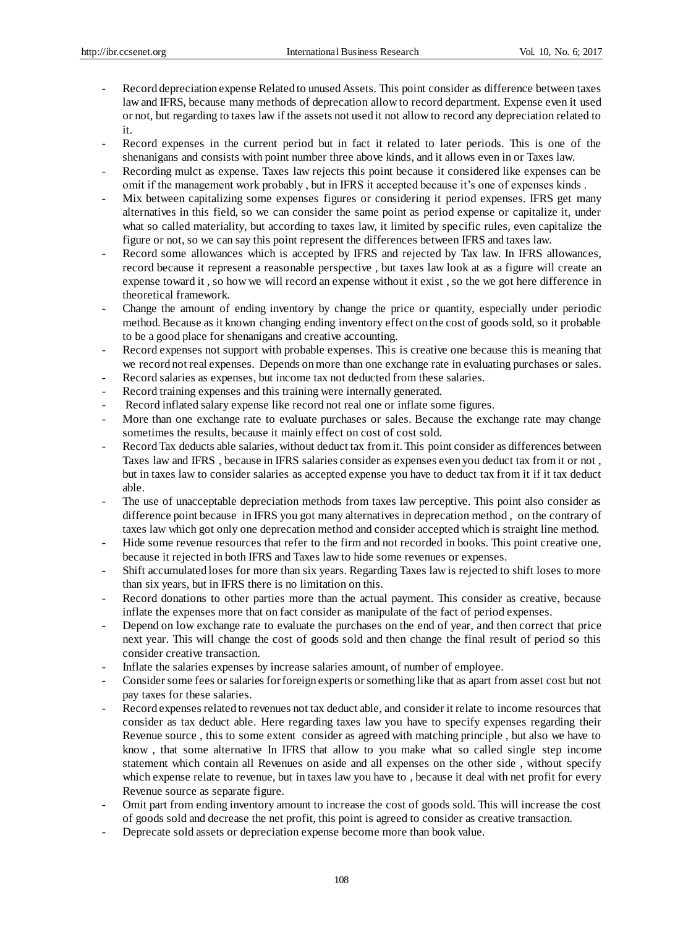- Record depreciation expense Related to unused Assets. This point consider as difference between taxes law and IFRS, because many methods of deprecation allow to record department. Expense even it used or not, but regarding to taxes law if the assets not used it not allow to record any depreciation related to it.
- Record expenses in the current period but in fact it related to later periods. This is one of the shenanigans and consists with point number three above kinds, and it allows even in or Taxes law.
- Recording mulct as expense. Taxes law rejects this point because it considered like expenses can be omit if the management work probably , but in IFRS it accepted because it's one of expenses kinds .
- Mix between capitalizing some expenses figures or considering it period expenses. IFRS get many alternatives in this field, so we can consider the same point as period expense or capitalize it, under what so called materiality, but according to taxes law, it limited by specific rules, even capitalize the figure or not, so we can say this point represent the differences between IFRS and taxes law.
- Record some allowances which is accepted by IFRS and rejected by Tax law. In IFRS allowances, record because it represent a reasonable perspective , but taxes law look at as a figure will create an expense toward it , so how we will record an expense without it exist , so the we got here difference in theoretical framework.
- Change the amount of ending inventory by change the price or quantity, especially under periodic method. Because as it known changing ending inventory effect on the cost of goods sold, so it probable to be a good place for shenanigans and creative accounting.
- Record expenses not support with probable expenses. This is creative one because this is meaning that we record not real expenses. Depends on more than one exchange rate in evaluating purchases or sales.
- Record salaries as expenses, but income tax not deducted from these salaries.
- Record training expenses and this training were internally generated.
- Record inflated salary expense like record not real one or inflate some figures.
- More than one exchange rate to evaluate purchases or sales. Because the exchange rate may change sometimes the results, because it mainly effect on cost of cost sold.
- Record Tax deducts able salaries, without deduct tax from it. This point consider as differences between Taxes law and IFRS , because in IFRS salaries consider as expenses even you deduct tax from it or not , but in taxes law to consider salaries as accepted expense you have to deduct tax from it if it tax deduct able.
- The use of unacceptable depreciation methods from taxes law perceptive. This point also consider as difference point because in IFRS you got many alternatives in deprecation method , on the contrary of taxes law which got only one deprecation method and consider accepted which is straight line method.
- Hide some revenue resources that refer to the firm and not recorded in books. This point creative one, because it rejected in both IFRS and Taxes law to hide some revenues or expenses.
- Shift accumulated loses for more than six years. Regarding Taxes law is rejected to shift loses to more than six years, but in IFRS there is no limitation on this.
- Record donations to other parties more than the actual payment. This consider as creative, because inflate the expenses more that on fact consider as manipulate of the fact of period expenses.
- Depend on low exchange rate to evaluate the purchases on the end of year, and then correct that price next year. This will change the cost of goods sold and then change the final result of period so this consider creative transaction.
- Inflate the salaries expenses by increase salaries amount, of number of employee.
- Consider some fees or salaries for foreign experts or something like that as apart from asset cost but not pay taxes for these salaries.
- Record expenses related to revenues not tax deduct able, and consider it relate to income resources that consider as tax deduct able. Here regarding taxes law you have to specify expenses regarding their Revenue source , this to some extent consider as agreed with matching principle , but also we have to know , that some alternative In IFRS that allow to you make what so called single step income statement which contain all Revenues on aside and all expenses on the other side , without specify which expense relate to revenue, but in taxes law you have to , because it deal with net profit for every Revenue source as separate figure.
- Omit part from ending inventory amount to increase the cost of goods sold. This will increase the cost of goods sold and decrease the net profit, this point is agreed to consider as creative transaction.
- Deprecate sold assets or depreciation expense become more than book value.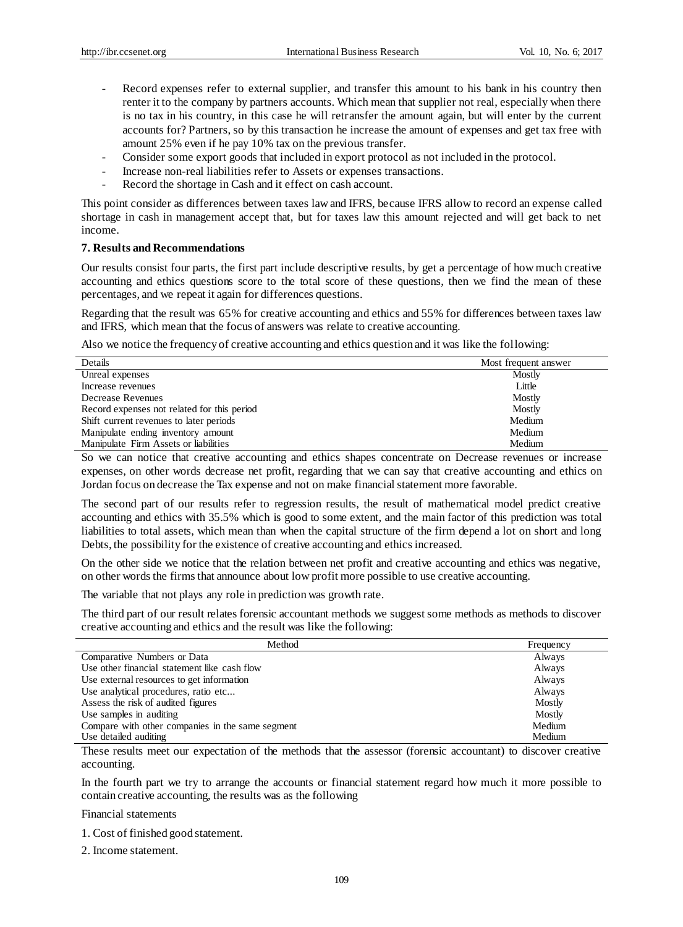- Record expenses refer to external supplier, and transfer this amount to his bank in his country then renter it to the company by partners accounts. Which mean that supplier not real, especially when there is no tax in his country, in this case he will retransfer the amount again, but will enter by the current accounts for? Partners, so by this transaction he increase the amount of expenses and get tax free with amount 25% even if he pay 10% tax on the previous transfer.
- Consider some export goods that included in export protocol as not included in the protocol.
- Increase non-real liabilities refer to Assets or expenses transactions.
- Record the shortage in Cash and it effect on cash account.

This point consider as differences between taxes law and IFRS, because IFRS allow to record an expense called shortage in cash in management accept that, but for taxes law this amount rejected and will get back to net income.

# **7. Results and Recommendations**

Our results consist four parts, the first part include descriptive results, by get a percentage of how much creative accounting and ethics questions score to the total score of these questions, then we find the mean of these percentages, and we repeat it again for differences questions.

Regarding that the result was 65% for creative accounting and ethics and 55% for differences between taxes law and IFRS, which mean that the focus of answers was relate to creative accounting.

Also we notice the frequency of creative accounting and ethics question and it was like the following:

| Details                                     | Most frequent answer |
|---------------------------------------------|----------------------|
| Unreal expenses                             | Mostly               |
| Increase revenues                           | Little               |
| Decrease Revenues                           | Mostly               |
| Record expenses not related for this period | Mostly               |
| Shift current revenues to later periods     | Medium               |
| Manipulate ending inventory amount          | Medium               |
| Manipulate Firm Assets or liabilities       | Medium               |

So we can notice that creative accounting and ethics shapes concentrate on Decrease revenues or increase expenses, on other words decrease net profit, regarding that we can say that creative accounting and ethics on Jordan focus on decrease the Tax expense and not on make financial statement more favorable.

The second part of our results refer to regression results, the result of mathematical model predict creative accounting and ethics with 35.5% which is good to some extent, and the main factor of this prediction was total liabilities to total assets, which mean than when the capital structure of the firm depend a lot on short and long Debts, the possibility for the existence of creative accounting and ethics increased.

On the other side we notice that the relation between net profit and creative accounting and ethics was negative, on other words the firms that announce about low profit more possible to use creative accounting.

The variable that not plays any role in prediction was growth rate.

The third part of our result relates forensic accountant methods we suggest some methods as methods to discover creative accounting and ethics and the result was like the following:

| Method                                           | Frequency |
|--------------------------------------------------|-----------|
| Comparative Numbers or Data                      | Always    |
| Use other financial statement like cash flow     | Always    |
| Use external resources to get information        | Always    |
| Use analytical procedures, ratio etc             | Always    |
| Assess the risk of audited figures               | Mostly    |
| Use samples in auditing                          | Mostly    |
| Compare with other companies in the same segment | Medium    |
| Use detailed auditing                            | Medium    |

These results meet our expectation of the methods that the assessor (forensic accountant) to discover creative accounting.

In the fourth part we try to arrange the accounts or financial statement regard how much it more possible to contain creative accounting, the results was as the following

Financial statements

1. Cost of finished good statement.

2. Income statement.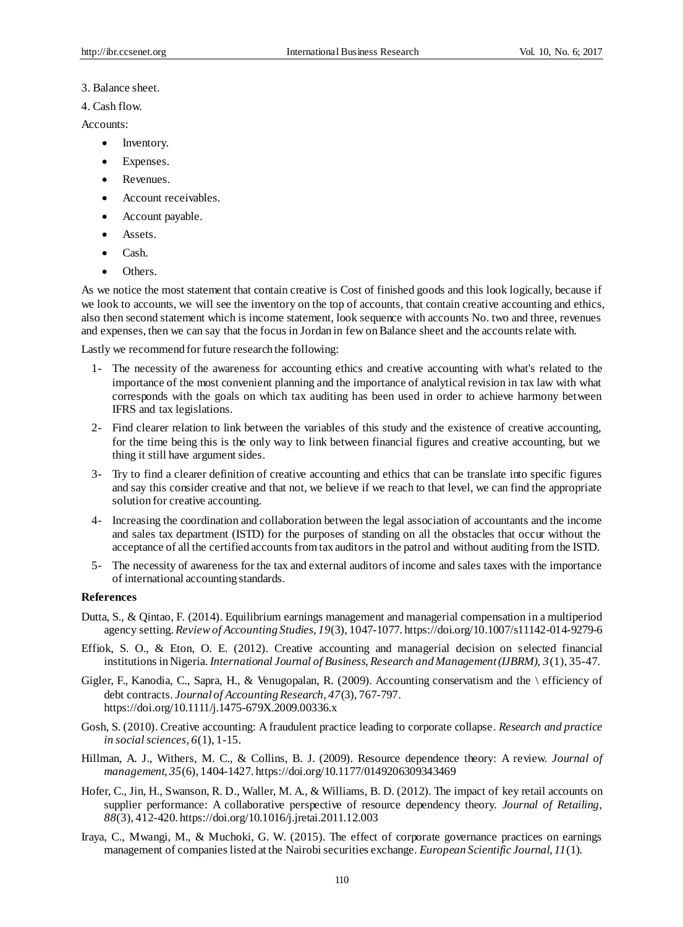## 3. Balance sheet.

4. Cash flow.

## Accounts:

- Inventory.
- Expenses.
- Revenues.
- Account receivables.
- Account payable.
- Assets.
- Cash.
- Others.

As we notice the most statement that contain creative is Cost of finished goods and this look logically, because if we look to accounts, we will see the inventory on the top of accounts, that contain creative accounting and ethics, also then second statement which is income statement, look sequence with accounts No. two and three, revenues and expenses, then we can say that the focus in Jordan in few on Balance sheet and the accounts relate with.

Lastly we recommend for future research the following:

- 1- The necessity of the awareness for accounting ethics and creative accounting with what's related to the importance of the most convenient planning and the importance of analytical revision in tax law with what corresponds with the goals on which tax auditing has been used in order to achieve harmony between IFRS and tax legislations.
- 2- Find clearer relation to link between the variables of this study and the existence of creative accounting, for the time being this is the only way to link between financial figures and creative accounting, but we thing it still have argument sides.
- 3- Try to find a clearer definition of creative accounting and ethics that can be translate into specific figures and say this consider creative and that not, we believe if we reach to that level, we can find the appropriate solution for creative accounting.
- 4- Increasing the coordination and collaboration between the legal association of accountants and the income and sales tax department (ISTD) for the purposes of standing on all the obstacles that occur without the acceptance of all the certified accounts from tax auditors in the patrol and without auditing from the ISTD.
- 5- The necessity of awareness for the tax and external auditors of income and sales taxes with the importance of international accounting standards.

## **References**

- Dutta, S., & Qintao, F. (2014). Equilibrium earnings management and managerial compensation in a multiperiod agency setting. *Review of Accounting Studies, 19*(3), 1047-1077. https://doi.org/10.1007/s11142-014-9279-6
- Effiok, S. O., & Eton, O. E. (2012). Creative accounting and managerial decision on selected financial institutions in Nigeria. *International Journal of Business, Research and Management (IJBRM), 3*(1), 35-47.
- Gigler, F., Kanodia, C., Sapra, H., & Venugopalan, R. (2009). Accounting conservatism and the \ efficiency of debt contracts. *Journal of Accounting Research, 47*(3), 767-797. https://doi.org/10.1111/j.1475-679X.2009.00336.x
- Gosh, S. (2010). Creative accounting: A fraudulent practice leading to corporate collapse. *Research and practice in social sciences, 6*(1), 1-15.
- Hillman, A. J., Withers, M. C., & Collins, B. J. (2009). Resource dependence theory: A review. *Journal of management, 35*(6), 1404-1427. https://doi.org/10.1177/0149206309343469
- Hofer, C., Jin, H., Swanson, R. D., Waller, M. A., & Williams, B. D. (2012). The impact of key retail accounts on supplier performance: A collaborative perspective of resource dependency theory. *Journal of Retailing, 88*(3), 412-420. https://doi.org/10.1016/j.jretai.2011.12.003
- Iraya, C., Mwangi, M., & Muchoki, G. W. (2015). The effect of corporate governance practices on earnings management of companies listed at the Nairobi securities exchange. *European Scientific Journal, 11*(1).